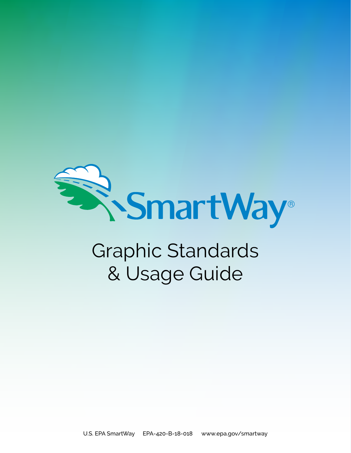

# Graphic Standards & Usage Guide

U.S. EPA SmartWay EPA-420-B-18-018 www.epa.gov/smartway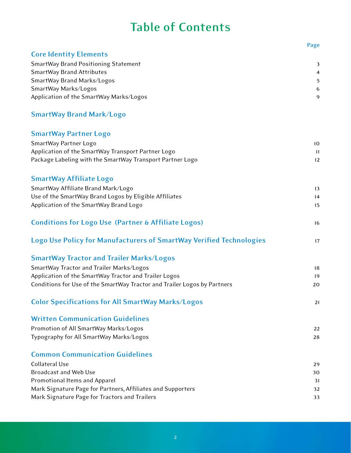## **Table of Contents**

**Page** 

| <b>Core Identity Elements</b>                                            |                |
|--------------------------------------------------------------------------|----------------|
| <b>SmartWay Brand Positioning Statement</b>                              | 3              |
| <b>SmartWay Brand Attributes</b>                                         | $\overline{a}$ |
| SmartWay Brand Marks/Logos                                               | 5              |
| SmartWay Marks/Logos                                                     | 6              |
| Application of the SmartWay Marks/Logos                                  | 9              |
| <b>SmartWay Brand Mark/Logo</b>                                          |                |
| <b>SmartWay Partner Logo</b>                                             |                |
| SmartWay Partner Logo                                                    | 10             |
| Application of the SmartWay Transport Partner Logo                       | $\mathbf{H}$   |
| Package Labeling with the SmartWay Transport Partner Logo                | 12             |
| <b>SmartWay Affiliate Logo</b>                                           |                |
| SmartWay Affiliate Brand Mark/Logo                                       | 13             |
| Use of the SmartWay Brand Logos by Eligible Affiliates                   | 4              |
| Application of the SmartWay Brand Logo                                   | 15             |
| <b>Conditions for Logo Use (Partner &amp; Affiliate Logos)</b>           | 16             |
| Logo Use Policy for Manufacturers of SmartWay Verified Technologies      | 17             |
| <b>SmartWay Tractor and Trailer Marks/Logos</b>                          |                |
| SmartWay Tractor and Trailer Marks/Logos                                 | 18             |
| Application of the SmartWay Tractor and Trailer Logos                    | 19             |
| Conditions for Use of the SmartWay Tractor and Trailer Logos by Partners | 20             |
| <b>Color Specifications for All SmartWay Marks/Logos</b>                 | 21             |
| <b>Written Communication Guidelines</b>                                  |                |
| Promotion of All SmartWay Marks/Logos                                    | 22             |
| Typography for All SmartWay Marks/Logos                                  | 28             |
| <b>Common Communication Guidelines</b>                                   |                |
| <b>Collateral Use</b>                                                    | 29             |
| <b>Broadcast and Web Use</b>                                             | 30             |
| <b>Promotional Items and Apparel</b>                                     | 31             |
| Mark Signature Page for Partners, Affiliates and Supporters              | 32             |
| Mark Signature Page for Tractors and Trailers                            | 33             |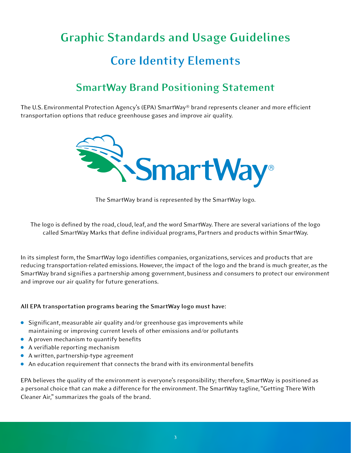# <span id="page-2-0"></span>**Graphic Standards and Usage Guidelines Core Identity Elements**

### **SmartWay Brand Positioning Statement**

The U.S. Environmental Protection Agency's (EPA) SmartWay® brand represents cleaner and more efficient transportation options that reduce greenhouse gases and improve air quality.



 The SmartWay brand is represented by the SmartWay logo.

 The logo is defned by the road, cloud, leaf, and the word SmartWay. There are several variations of the logo called SmartWay Marks that defne individual programs, Partners and products within SmartWay.

In its simplest form, the SmartWay logo identifies companies, organizations, services and products that are In its simplest form, the SmartWay logo identifies companies, organizations, services and products that are<br>reducing transportation-related emissions. However, the impact of the logo and the brand is much greater, as the SmartWay brand signifes a partnership among government, business and consumers to protect our environment and improve our air quality for future generations.

### **All EPA transportation programs bearing the SmartWay logo must have:**

- $\bullet$  Significant, measurable air quality and/or greenhouse gas improvements while maintaining or improving current levels of other emissions and/or pollutants
- $\bullet$  A proven mechanism to quantify benefits
- **A** verifiable reporting mechanism
- **A** written, partnership-type agreement
- $\bullet$  An education requirement that connects the brand with its environmental benefits

EPA believes the quality of the environment is everyone's responsibility; therefore, SmartWay is positioned as<br>a personal choice that can make a difference for the environment. The SmartWay tagline, "Getting There With<br>Cle a personal choice that can make a difference for the environment. The SmartWay tagline, "Getting There With Cleaner Air," summarizes the goals of the brand.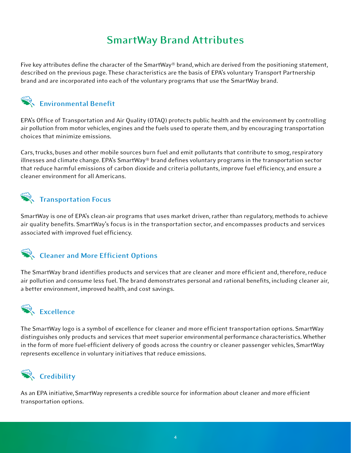### **SmartWay Brand Attributes**

<span id="page-3-0"></span>Five key attributes define the character of the SmartWay® brand, which are derived from the positioning statement,<br>described on the previous page. These characteristics are the basis of EPA's voluntary Transport Partnershi described on the previous page. These characteristics are the basis of EPA's voluntary Transport Partnership brand and are incorporated into each of the voluntary programs that use the SmartWay brand.



EPA's Office of Transportation and Air Quality (OTAQ) protects public health and the environment by controlling air pollution from motor vehicles, engines and the fuels used to operate them, and by encouraging transportation choices that minimize emissions.

Cars, trucks, buses and other mobile sources burn fuel and emit pollutants that contribute to smog, respiratory and climate change. EPA's SmartWay® brand defines voluntary programs in the transportation sector that reduce harmful emissions of carbon dioxide and criteria pollutants, improve fuel efficiency, and ensure a cleaner environment for all Americans. Cars, trucks, buses and other mobile sources burn fuel and emit pollutants that contribute to smog, respiratory<br>illnesses and climate change. EPA's SmartWay® brand defines voluntary programs in the transportation sector<br>th

### **The Transportation Focus**

SmartWay is one of EPA's clean-air programs that uses market driven, rather than regulatory, methods to achieve<br>air quality benefits. SmartWay's focus is in the transportation sector, and encompasses products and services<br> air quality benefits. SmartWay's focus is in the transportation sector, and encompasses products and services associated with improved fuel efficiency.



The SmartWay brand identifies products and services that are cleaner and more efficient and, therefore, reduce<br>air pollution and consume less fuel. The brand demonstrates personal and rational benefits, including cleaner a air pollution and consume less fuel. The brand demonstrates personal and rational benefits, including cleaner air, a better environment, improved health, and cost savings.



The SmartWay logo is a symbol of excellence for cleaner and more efficient transportation options. SmartWay only products and services that meet superior environmental performance characteristics. Whether in the form of more fuel-efficient delivery of goods across the country or cleaner passenger vehicles, SmartWay represents excellence in voluntary initiatives that reduce emissions. The SmartWay logo is a symbol of excellence for cleaner and more efficient transportation options. SmartWay<br>distinguishes only products and services that meet superior environmental performance characteristics. Whether<br>in



As an EPA initiative, SmartWay represents a credible source for information about cleaner and more efficient<br>transportation options.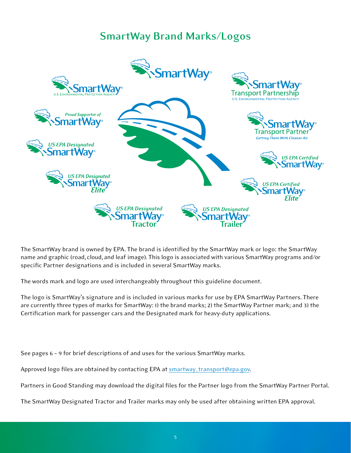### **SmartWay Brand Marks/Logos**

<span id="page-4-0"></span>

 The SmartWay brand is owned by EPA. The brand is identifed by the SmartWay mark or logo: the SmartWay name and graphic (road, cloud, and leaf image). This logo is associated with various SmartWay programs and/or specific Partner designations and is included in several SmartWay marks.

 The words mark and logo are used interchangeably throughout this guideline document.

The logo is SmartWay's signature and is included in various marks for use by EPA SmartWay Partners. There<br>are currently three types of marks for SmartWay: 1) the brand marks; 2) the SmartWay Partner mark; and 3) the<br>Certif are currently three types of marks for SmartWay: 1) the brand marks; 2) the SmartWay Partner mark; and 3) the Certification mark for passenger cars and the Designated mark for heavy-duty applications.

 See pages 6 – 9 for brief descriptions of and uses for the various SmartWay marks.

Approved logo files are obtained by contacting EPA at **[smartway\\_transport@epa.gov](mailto:smartway_transport@epa.gov).** 

 Partners in Good Standing may download the digital fles for the Partner logo from the SmartWay Partner Portal.

 The SmartWay Designated Tractor and Trailer marks may only be used after obtaining written EPA approval.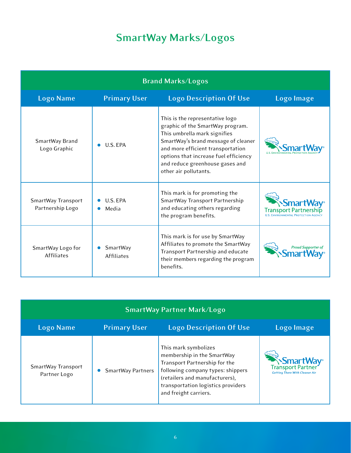## **SmartWay Marks/Logos**

<span id="page-5-0"></span>

| <b>Brand Marks/Logos</b>               |                        |                                                                                                                                                                                                                                                                                      |                           |
|----------------------------------------|------------------------|--------------------------------------------------------------------------------------------------------------------------------------------------------------------------------------------------------------------------------------------------------------------------------------|---------------------------|
| <b>Logo Name</b>                       | <b>Primary User</b>    | <b>Logo Description Of Use</b>                                                                                                                                                                                                                                                       | Logo Image                |
| SmartWay Brand<br>Logo Graphic         | U.S. EPA               | This is the representative logo<br>graphic of the SmartWay program.<br>This umbrella mark signifies<br>SmartWay's brand message of cleaner<br>and more efficient transportation<br>options that increase fuel efficiency<br>and reduce greenhouse gases and<br>other air pollutants. |                           |
| SmartWay Transport<br>Partnership Logo | U.S. EPA<br>Media      | This mark is for promoting the<br>SmartWay Transport Partnership<br>and educating others regarding<br>the program benefits.                                                                                                                                                          | <b>Transport Partner</b>  |
| SmartWay Logo for<br><b>Affiliates</b> | SmartWay<br>Affiliates | This mark is for use by SmartWay<br>Affiliates to promote the SmartWay<br>Transport Partnership and educate<br>their members regarding the program<br>benefits.                                                                                                                      | <b>Proud Supporter of</b> |

| <b>SmartWay Partner Mark/Logo</b>  |                          |                                                                                                                                                                                                                           |                                                                                            |
|------------------------------------|--------------------------|---------------------------------------------------------------------------------------------------------------------------------------------------------------------------------------------------------------------------|--------------------------------------------------------------------------------------------|
| <b>Logo Name</b>                   | <b>Primary User</b>      | <b>Logo Description Of Use</b>                                                                                                                                                                                            | Logo Image                                                                                 |
| SmartWay Transport<br>Partner Logo | <b>SmartWay Partners</b> | This mark symbolizes<br>membership in the SmartWay<br>Transport Partnership for the<br>following company types: shippers<br>(retailers and manufacturers),<br>transportation logistics providers<br>and freight carriers. | <b>SmartWay</b> <sup>®</sup><br>Transport Partner<br><b>Getting There With Cleaner Air</b> |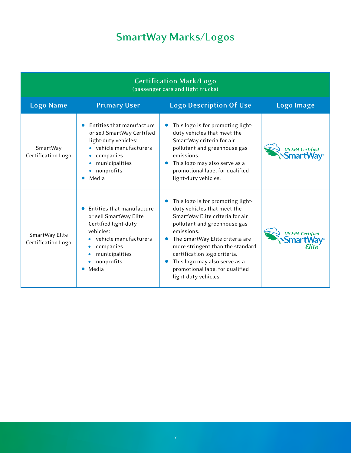## **SmartWay Marks/Logos**

| <b>Certification Mark/Logo</b><br>(passenger cars and light trucks) |                                                                                                                                                                              |                                                                                                                                                                                                                                                                                                                                                      |                                   |
|---------------------------------------------------------------------|------------------------------------------------------------------------------------------------------------------------------------------------------------------------------|------------------------------------------------------------------------------------------------------------------------------------------------------------------------------------------------------------------------------------------------------------------------------------------------------------------------------------------------------|-----------------------------------|
| <b>Logo Name</b>                                                    | <b>Primary User</b>                                                                                                                                                          | <b>Logo Description Of Use</b>                                                                                                                                                                                                                                                                                                                       | Logo Image                        |
| SmartWay<br>Certification Logo                                      | Entities that manufacture<br>or sell SmartWay Certified<br>light-duty vehicles:<br>vehicle manufacturers<br>companies<br>municipalities<br>nonprofits<br>Media               | This logo is for promoting light-<br>duty vehicles that meet the<br>SmartWay criteria for air<br>pollutant and greenhouse gas<br>emissions.<br>This logo may also serve as a<br>promotional label for qualified<br>light-duty vehicles.                                                                                                              | <b>US EPA Certified</b><br>Smart\ |
| SmartWay Elite<br>Certification Logo                                | Entities that manufacture<br>or sell SmartWay Elite<br>Certified light-duty<br>vehicles:<br>vehicle manufacturers<br>companies<br>۰<br>municipalities<br>nonprofits<br>Media | This logo is for promoting light-<br>duty vehicles that meet the<br>SmartWay Elite criteria for air<br>pollutant and greenhouse gas<br>emissions.<br>The SmartWay Elite criteria are<br>more stringent than the standard<br>certification logo criteria.<br>This logo may also serve as a<br>promotional label for qualified<br>light-duty vehicles. | <b>US EPA Certified</b>           |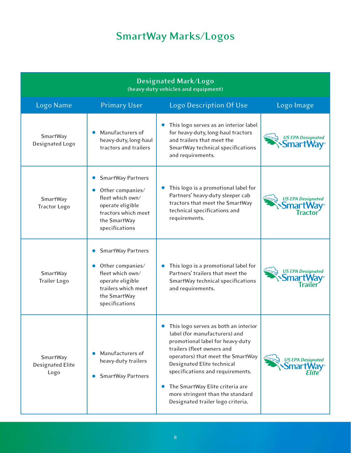## **SmartWay Marks/Logos**

| Designated Mark/Logo<br>(heavy-duty vehicles and equipment) |                                                                                                                                                            |                                                                                                                                                                                                                                                                                                                                                                         |                                                        |
|-------------------------------------------------------------|------------------------------------------------------------------------------------------------------------------------------------------------------------|-------------------------------------------------------------------------------------------------------------------------------------------------------------------------------------------------------------------------------------------------------------------------------------------------------------------------------------------------------------------------|--------------------------------------------------------|
| Logo Name                                                   | <b>Primary User</b>                                                                                                                                        | Logo Description Of Use                                                                                                                                                                                                                                                                                                                                                 | Logo Image                                             |
| SmartWay<br>Designated Logo                                 | Manufacturers of<br>heavy-duty, long-haul<br>tractors and trailers                                                                                         | This logo serves as an interior label<br>for heavy-duty, long-haul tractors<br>and trailers that meet the<br>SmartWay technical specifications<br>and requirements.                                                                                                                                                                                                     | <b>US EPA Designated</b><br>Smart                      |
| SmartWay<br>Tractor Logo                                    | SmartWay Partners<br>$\bullet$<br>Other companies/<br>fleet which own/<br>operate eligible<br>tractors which meet<br>the SmartWay<br>specifications        | This logo is a promotional label for<br>$\bullet$<br>Partners' heavy-duty sleeper cab<br>tractors that meet the SmartWay<br>technical specifications and<br>requirements.                                                                                                                                                                                               | <b>US EPA Designated</b><br><b>SmartWay</b><br>Tractor |
| SmartWay<br><b>Trailer Logo</b>                             | <b>SmartWay Partners</b><br>Other companies/<br>$\bullet$<br>fleet which own/<br>operate eligible<br>trailers which meet<br>the SmartWay<br>specifications | This logo is a promotional label for<br>$\bullet$<br>Partners' trailers that meet the<br>SmartWay technical specifications<br>and requirements.                                                                                                                                                                                                                         | <b>US EPA Designated</b><br><b>SmartV</b>              |
| SmartWay<br>Designated Elite<br>Logo                        | Manufacturers of<br>heavy-duty trailers<br><b>SmartWay Partners</b>                                                                                        | This logo serves as both an interior<br>label (for manufacturers) and<br>promotional label for heavy-duty<br>trailers (fleet owners and<br>operators) that meet the SmartWay<br>Designated Elite technical<br>specifications and requirements.<br>The SmartWay Elite criteria are<br>$\bullet$<br>more stringent than the standard<br>Designated trailer logo criteria. | <b>US EPA Designated</b><br><b>5mart</b>               |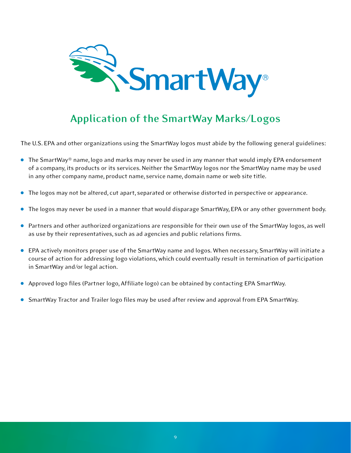<span id="page-8-0"></span>

### **Application of the SmartWay Marks/Logos**

 The U.S. EPA and other organizations using the SmartWay logos must abide by the following general guidelines:

- $\bullet$  The SmartWay® name, logo and marks may never be used in any manner that would imply EPA endorsement of a company, its products or its services. Neither the SmartWay logos nor the SmartWay name may be used in any other company name, product name, service name, domain name or web site title.
- **The logos may not be altered, cut apart, separated or otherwise distorted in perspective or appearance.**
- **The logos may never be used in a manner that would disparage SmartWay, EPA or any other government body.**
- **•** Partners and other authorized organizations are responsible for their own use of the SmartWay logos, as well as use by their representatives, such as ad agencies and public relations frms.
- <sup>l</sup>EPA actively monitors proper use of the SmartWay name and logos. When necessary, SmartWay will initiate a course of action for addressing logo violations, which could eventually result in termination of participation in SmartWay and/or legal action.
- **•** Approved logo files (Partner logo, Affiliate logo) can be obtained by contacting EPA SmartWay.
- **SmartWay Tractor and Trailer logo files may be used after review and approval from EPA SmartWay.**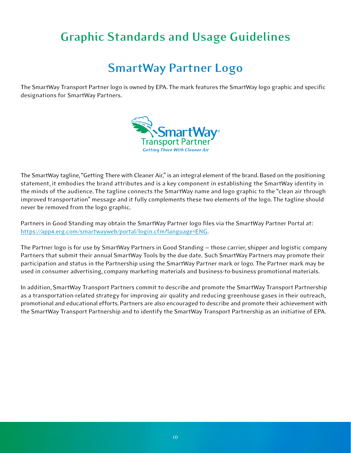## <span id="page-9-0"></span>**Graphic Standards and Usage Guidelines**

### **SmartWay Partner Logo**

The SmartWay Transport Partner logo is owned by EPA. The mark features the SmartWay logo graphic and specific<br>designations for SmartWay Partners. designations for SmartWay Partners.



 The SmartWay tagline, "Getting There with Cleaner Air," is an integral element of the brand. Based on the positioning statement, it embodies the brand attributes and is a key component in establishing the SmartWay identity in statement, it embodies the brand attributes and is a key component in establishing the SmartWay identity in<br>the minds of the audience. The tagline connects the SmartWay name and logo graphic to the "clean air through improved transportation" message and it fully complements these two elements of the logo. The tagline should<br>never be removed from the logo graphic. never be removed from the logo graphic.

 Partners in Good Standing may obtain the SmartWay Partner logo fles via the SmartWay Partner Portal at: https://app4.erg.com/smartwayweb/portal/login.cfm?language=ENG.

The Partner logo is for use by SmartWay Partners in Good Standing — those carrier, shipper and logistic company<br>Partners that submit their annual SmartWay Tools by the due date. Such SmartWay Partners may promote their Partners that submit their annual SmartWay Tools by the due date. Such SmartWay Partners may promote their participation and status in the Partnership using the SmartWay Partner mark or logo. The Partner mark may be<br>used in consumer advertising, company marketing materials and business-to-business promotional materials. used in consumer advertising, company marketing materials and business-to-business promotional materials.

In addition, SmartWay Transport Partners commit to describe and promote the SmartWay Transport Partnership In addition, SmartWay Transport Partners commit to describe and promote the SmartWay Transport Partnership<br>as a transportation-related strategy for improving air quality and reducing greenhouse gases in their outreach, promotional and educational efforts. Partners are also encouraged to describe and promote their achievement with promotional and educational efforts. Partners are also encouraged to describe and promote their achievement with<br>the SmartWay Transport Partnership and to identify the SmartWay Transport Partnership as an initiative of EPA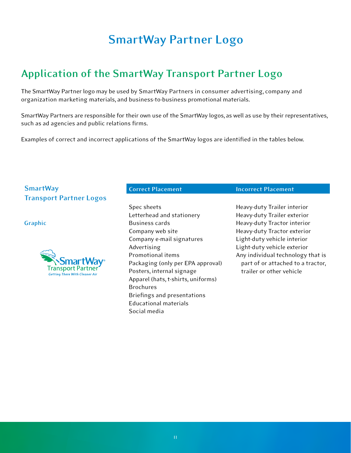## **SmartWay Partner Logo**

### <span id="page-10-0"></span>**Application of the SmartWay Transport Partner Logo**

The SmartWay Partner logo may be used by SmartWay Partners in consumer advertising, company and<br>organization marketing materials, and business-to-business promotional materials. organization marketing materials, and business-to-business promotional materials.

 SmartWay Partners are responsible for their own use of the SmartWay logos, as well as use by their representatives, such as ad agencies and public relations firms.

 Examples of correct and incorrect applications of the SmartWay logos are identifed in the tables below.

### **SmartWay Transport Partner Logos**

### **Graphic**



 Letterhead and stationery Company web site Company e-mail signatures Packaging (only per EPA approval) Posters, internal signage Posters, internal signage<br>Apparel (hats, t-shirts, uniforms) Briefngs and presentations Spec sheets Business cards Advertising Promotional items Brochures Educational materials Social media

### **Correct Placement Incorrect Placement**

 Heavy-duty Trailer interior Heavy-duty Trailer exterior Heavy-duty Tractor interior Heavy-duty Tractor exterior Light-duty vehicle interior Light-duty vehicle exterior Any individual technology that is part of or attached to a tractor, trailer or other vehicle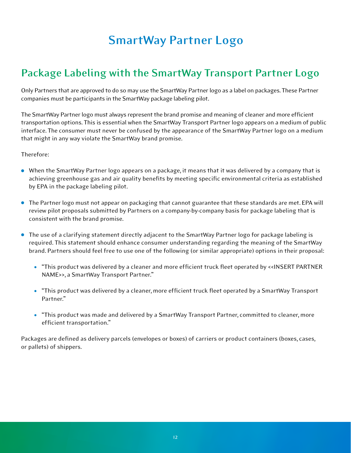## **SmartWay Partner Logo**

### <span id="page-11-0"></span>**Package Labeling with the SmartWay Transport Partner Logo**

Only Partners that are approved to do so may use the SmartWay Partner logo as a label on packages. These Partner<br>companies must be participants in the SmartWay package labeling pilot. companies must be participants in the SmartWay package labeling pilot.

The SmartWay Partner logo must always represent the brand promise and meaning of cleaner and more efficient transportation options. This is essential when the SmartWay Transport Partner logo appears on a medium of public<br>interface. The consumer must never be confused by the appearance of the SmartWay Partner logo on a medium<br>tha interface. The consumer must never be confused by the appearance of the SmartWay Partner logo on a medium that might in any way violate the SmartWay brand promise.

### Therefore:

- When the SmartWay Partner logo appears on a package, it means that it was delivered by a company that is achieving greenhouse gas and air quality benefts by meeting specifc environmental criteria as established by EPA in the package labeling pilot.
- **The Partner logo must not appear on packaging that cannot guarantee that these standards are met. EPA will**  review pilot proposals submitted by Partners on a company-by-company basis for package labeling that is consistent with the brand promise.
- The use of a clarifying statement directly adjacent to the SmartWay Partner logo for package labeling is required. This statement should enhance consumer understanding regarding the meaning of the SmartWay required. This statement should enhance consumer understanding regarding the meaning of the SmartWay<br>brand. Partners should feel free to use one of the following (or similar appropriate) options in their proposal:
	- <sup>l</sup>"This product was delivered by a cleaner and more effcient truck feet operated by <<INSERT PARTNER NAME>>, a SmartWay Transport Partner." NAME>>, a SmartWay Transport Partner."
	- "This product was delivered by a cleaner, more efficient truck fleet operated by a SmartWay Transport Partner."
- "This product was made and delivered by a SmartWay Transport Partner, committed to cleaner, more efficient transportation."

 Packages are defned as delivery parcels (envelopes or boxes) of carriers or product containers (boxes, cases, or pallets) of shippers.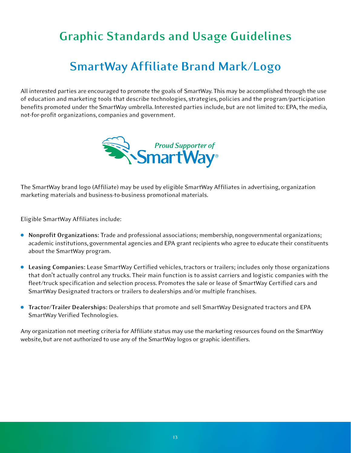## <span id="page-12-0"></span>**Graphic Standards and Usage Guidelines**

## **SmartWay Affiliate Brand Mark/Logo**

All interested parties are encouraged to promote the goals of SmartWay. This may be accomplished through the use<br>of education and marketing tools that describe technologies, strategies, policies and the program/participati of education and marketing tools that describe technologies, strategies, policies and the program/participation benefits promoted under the SmartWay umbrella. Interested parties include, but are not limited to: EPA, the media,<br>not-for-profit organizations, companies and government. not-for-profit organizations, companies and government.



 The SmartWay brand logo (Affliate) may be used by eligible SmartWay Affliates in advertising, organization marketing materials and business-to-business promotional materials.

 Eligible SmartWay Affliates include:

- **· Nonprofit Organizations:** Trade and professional associations; membership, nongovernmental organizations; academic institutions, governmental agencies and EPA grant recipients who agree to educate their constituents about the SmartWay program.
- Leasing Companies: Lease SmartWay Certified vehicles, tractors or trailers; includes only those organizations<br>that don't actually control any trucks. Their main function is to assist carriers and logistic companies with that don't actually control any trucks. Their main function is to assist carriers and logistic companies with the fleet/truck specification and selection process. Promotes the sale or lease of SmartWay Certified cars and SmartWay Designated tractors or trailers to dealerships and/or multiple franchises.
- **Tractor/Trailer Dealerships:** Dealerships that promote and sell SmartWay Designated tractors and EPA SmartWay Verifed Technologies.

Any organization not meeting criteria for Affiliate status may use the marketing resources found on the SmartWay<br>website, but are not authorized to use any of the SmartWay logos or graphic identifiers. website, but are not authorized to use any of the SmartWay logos or graphic identifiers.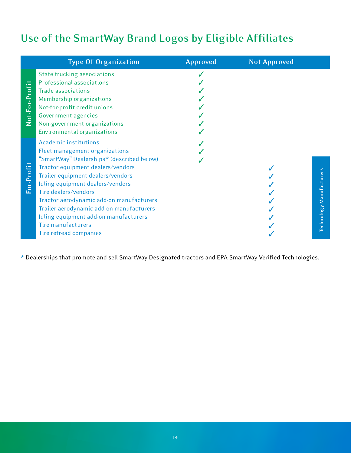### <span id="page-13-0"></span>**Use of the SmartWay Brand Logos by Eligible Affliates**

|                | <b>Type Of Organization</b>                                                                                                                                                                                                                                                                                                                                                                                                               | <b>Approved</b> | <b>Not Approved</b> |                          |
|----------------|-------------------------------------------------------------------------------------------------------------------------------------------------------------------------------------------------------------------------------------------------------------------------------------------------------------------------------------------------------------------------------------------------------------------------------------------|-----------------|---------------------|--------------------------|
| Not-For-Profit | State trucking associations<br>Professional associations<br><b>Trade associations</b><br>Membership organizations<br>Not-for-profit credit unions<br><b>Government agencies</b><br>Non-government organizations<br><b>Environmental organizations</b>                                                                                                                                                                                     |                 |                     |                          |
| For-Profit     | <b>Academic institutions</b><br>Fleet management organizations<br>"SmartWay" Dealerships* (described below)<br>Tractor equipment dealers/vendors<br>Trailer equipment dealers/vendors<br>Idling equipment dealers/vendors<br>Tire dealers/vendors<br>Tractor aerodynamic add-on manufacturers<br>Trailer aerodynamic add-on manufacturers<br>Idling equipment add-on manufacturers<br><b>Tire manufacturers</b><br>Tire retread companies |                 |                     | Technology Manufacturers |

 \* Dealerships that promote and sell SmartWay Designated tractors and EPA SmartWay Verifed Technologies.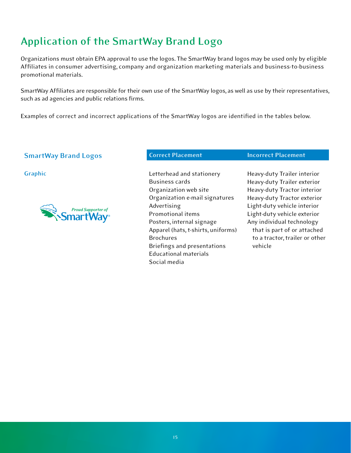### <span id="page-14-0"></span>**Application of the SmartWay Brand Logo**

Organizations must obtain EPA approval to use the logos. The SmartWay brand logos may be used only by eligible Organizations must obtain EPA approval to use the logos. The SmartWay brand logos may be used only by eligible<br>Affiliates in consumer advertising, company and organization marketing materials and business-to-business promotional materials.

 SmartWay Affliates are responsible for their own use of the SmartWay logos, as well as use by their representatives, such as ad agencies and public relations firms.

 Examples of correct and incorrect applications of the SmartWay logos are identifed in the tables below.

### **SmartWay Brand Logos Correct Placement Convertional Incorrect Placement**



 **Graphic** Letterhead and stationery Organization web site Organization e-mail signatures Posters, internal signage Apparel (hats, t-shirts, uniforms) Briefngs and presentations Business cards Advertising Promotional items Brochures Educational materials Social media

 Heavy-duty Trailer interior Heavy-duty Trailer exterior Heavy-duty Tractor interior Heavy-duty Tractor exterior Light-duty vehicle interior Light-duty vehicle exterior Any individual technology that is part of or attached that is part of or attached to a tractor, trailer or other vehicle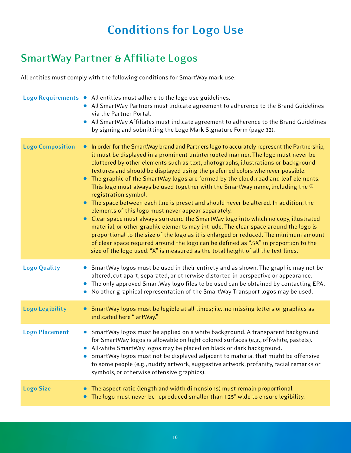## **Conditions for Logo Use**

### <span id="page-15-0"></span>**SmartWay Partner & Affliate Logos**

 All entities must comply with the following conditions for SmartWay mark use:

|                         | Logo Requirements . All entities must adhere to the logo use guidelines.<br>All SmartWay Partners must indicate agreement to adherence to the Brand Guidelines<br>via the Partner Portal.<br>• All SmartWay Affiliates must indicate agreement to adherence to the Brand Guidelines<br>by signing and submitting the Logo Mark Signature Form (page 32).                                                                                                                                                                                                                                                                                                                                                                                                                                                                                                                                                                                                                                                                                                                                                                                                                                                     |
|-------------------------|--------------------------------------------------------------------------------------------------------------------------------------------------------------------------------------------------------------------------------------------------------------------------------------------------------------------------------------------------------------------------------------------------------------------------------------------------------------------------------------------------------------------------------------------------------------------------------------------------------------------------------------------------------------------------------------------------------------------------------------------------------------------------------------------------------------------------------------------------------------------------------------------------------------------------------------------------------------------------------------------------------------------------------------------------------------------------------------------------------------------------------------------------------------------------------------------------------------|
| <b>Logo Composition</b> | • In order for the SmartWay brand and Partners logo to accurately represent the Partnership,<br>it must be displayed in a prominent uninterrupted manner. The logo must never be<br>cluttered by other elements such as text, photographs, illustrations or background<br>textures and should be displayed using the preferred colors whenever possible.<br>The graphic of the SmartWay logos are formed by the cloud, road and leaf elements.<br>$\bullet$<br>This logo must always be used together with the SmartWay name, including the $\mathcal{R}$<br>registration symbol.<br>The space between each line is preset and should never be altered. In addition, the<br>$\bullet$<br>elements of this logo must never appear separately.<br>Clear space must always surround the SmartWay logo into which no copy, illustrated<br>$\bullet$<br>material, or other graphic elements may intrude. The clear space around the logo is<br>proportional to the size of the logo as it is enlarged or reduced. The minimum amount<br>of clear space required around the logo can be defined as ".5X" in proportion to the<br>size of the logo used. "X" is measured as the total height of all the text lines. |
| <b>Logo Quality</b>     | • SmartWay logos must be used in their entirety and as shown. The graphic may not be<br>altered, cut apart, separated, or otherwise distorted in perspective or appearance.<br>The only approved SmartWay logo files to be used can be obtained by contacting EPA.<br>No other graphical representation of the SmartWay Transport logos may be used.                                                                                                                                                                                                                                                                                                                                                                                                                                                                                                                                                                                                                                                                                                                                                                                                                                                         |
| <b>Logo Legibility</b>  | SmartWay logos must be legible at all times; i.e., no missing letters or graphics as<br>$\bullet$<br>indicated here "artWay."                                                                                                                                                                                                                                                                                                                                                                                                                                                                                                                                                                                                                                                                                                                                                                                                                                                                                                                                                                                                                                                                                |
| <b>Logo Placement</b>   | SmartWay logos must be applied on a white background. A transparent background<br>$\bullet$<br>for SmartWay logos is allowable on light colored surfaces (e.g., off-white, pastels).<br>• All-white SmartWay logos may be placed on black or dark background.<br>SmartWay logos must not be displayed adjacent to material that might be offensive<br>to some people (e.g., nudity artwork, suggestive artwork, profanity, racial remarks or<br>symbols, or otherwise offensive graphics).                                                                                                                                                                                                                                                                                                                                                                                                                                                                                                                                                                                                                                                                                                                   |
| <b>Logo Size</b>        | The aspect ratio (length and width dimensions) must remain proportional.<br>The logo must never be reproduced smaller than 1.25" wide to ensure legibility.                                                                                                                                                                                                                                                                                                                                                                                                                                                                                                                                                                                                                                                                                                                                                                                                                                                                                                                                                                                                                                                  |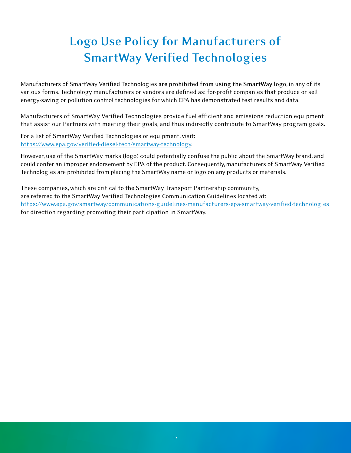## <span id="page-16-0"></span>**Logo Use Policy for Manufacturers of SmartWay Verifed Technologies**

Manufacturers of SmartWay Verified Technologies are prohibited from using the SmartWay logo, in any of its Manufacturers of SmartWay Verified Technologies <mark>are prohibited from using the SmartWay logo</mark>, in any of its<br>various forms. Technology manufacturers or vendors are defined as: for-profit companies that produce or sell energy-saving or pollution control technologies for which EPA has demonstrated test results and data.

Manufacturers of SmartWay Verified Technologies provide fuel efficient and emissions reduction equipment energy-saving or pollution control technologies for which EPA has demonstrated test results and data.<br>Manufacturers of SmartWay Verified Technologies provide fuel efficient and emissions reduction equipment<br>that assist our

 For a list of SmartWay Verifed Technologies or equipment, visit: https://www.epa.gov/verified-diesel-tech/smartway-technology.

 However, use of the SmartWay marks (logo) could potentially confuse the public about the SmartWay brand, and could confer an improper endorsement by EPA of the product. Consequently, manufacturers of SmartWay Verified<br>Technologies are prohibited from placing the SmartWay name or logo on any products or materials.<br>These companies, Technologies are prohibited from placing the SmartWay name or logo on any products or materials.

These companies, which are critical to the SmartWay Transport Partnership community, are referred to the SmartWay Verifed Technologies Communication Guidelines located at: for direction regarding promoting their participation in SmartWay. https://www.epa.gov/smartway/communications-guidelines-manufacturers-epa-smartway-verified-technologies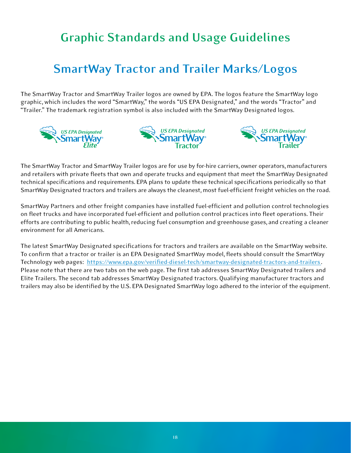## <span id="page-17-0"></span>**Graphic Standards and Usage Guidelines**

### **SmartWay Tractor and Trailer Marks/Logos**

The SmartWay Tractor and SmartWay Trailer logos are owned by EPA. The logos feature the SmartWay logo<br>graphic, which includes the word "SmartWay," the words "US EPA Designated," and the words "Tractor" and<br>"Trailer." The t graphic, which includes the word "SmartWay," the words "US EPA Designated," and the words "Tractor" and "Trailer." The trademark registration symbol is also included with the SmartWay Designated logos.







 The SmartWay Tractor and SmartWay Trailer logos are for use by for-hire carriers, owner operators, manufacturers and retailers with private fleets that own and operate trucks and equipment that meet the SmartWay Designated<br>technical specifications and requirements. EPA plans to update these technical specifications periodically so th technical specifications and requirements. EPA plans to update these technical specifications periodically so that SmartWay Designated tractors and trailers are always the cleanest, most fuel-efficient freight vehicles on the road.

 SmartWay Partners and other freight companies have installed fuel-effcient and pollution control technologies on fleet trucks and have incorporated fuel-efficient and pollution control practices into fleet operations. Their<br>efforts are contributing to public health, reducing fuel consumption and greenhouse gases, and creating a cl efforts are contributing to public health, reducing fuel consumption and greenhouse gases, and creating a cleaner environment for all Americans.

The latest SmartWay Designated specifications for tractors and trailers are available on the SmartWay website. confirm that a tractor or trailer is an EPA Designated SmartWay model, fleets should consult the SmartWay Technology web pages: https://www.epa.gov/verified-diesel-tech/smartway-designated-tractors-and-trailers. Please note that there are two tabs on the web page. The first tab addresses SmartWay Designated trailers and Elite Trailers. The second tab addresses SmartWay Designated tractors. Qualifying manufacturer tractors and Please note that there are two tabs on the web page. The first tab addresses SmartWay Designated trailers and<br>Elite Trailers. The second tab addresses SmartWay Designated tractors. Qualifying manufacturer tractors and<br>trai The latest SmartWay Designated specifications for tractors and trailers are available on the SmartWay website.<br>To confirm that a tractor or trailer is an EPA Designated SmartWay model, fleets should consult the SmartWay<br>Te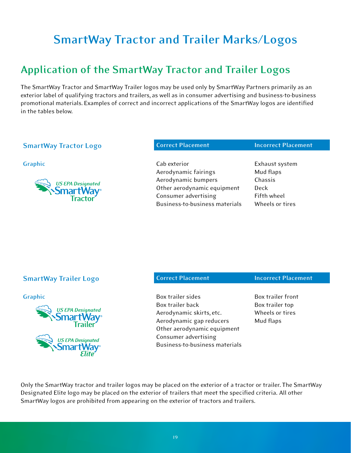## <span id="page-18-0"></span>**SmartWay Tractor and Trailer Marks/Logos**

### **Application of the SmartWay Tractor and Trailer Logos**

 The SmartWay Tractor and SmartWay Trailer logos may be used only by SmartWay Partners primarily as an exterior label of qualifying tractors and trailers, as well as in consumer advertising and business-to-business promotional materials. Examples of correct and incorrect applications of the SmartWay logos are identifed in the tables below.

### **SmartWay Tractor Logo Correct Placement Correct Placement Correct Placement**



**Graphic Cab exterior Cab exterior Cab exterior Exhaust system** Aerodynamic fairings Mud flaps Aerodynamic bumpers Chassis Other aerodynamic equipment Deck Consumer advertising Fifth wheel Business-to-business materials

Wheels or tires

### **SmartWay Trailer Logo Correct Placement Correct Placement Correct Placement**



Box trailer sides Box trailer back Box trailer top Aerodynamic skirts, etc. Wheels or tires Aerodynamic gap reducers Mud flaps **Graphic Box trailer sides** Box trailer sides Box trailer front Other aerodynamic equipment Consumer advertising Business-to-business materials

Box trailer top Wheels or tires

Only the SmartWay tractor and trailer logos may be placed on the exterior of a tractor or trailer. The SmartWay Only the SmartWay tractor and trailer logos may be placed on the exterior of a tractor or trailer. The SmartWay<br>Designated Elite logo may be placed on the exterior of trailers that meet the specified criteria. All other SmartWay logos are prohibited from appearing on the exterior of tractors and trailers.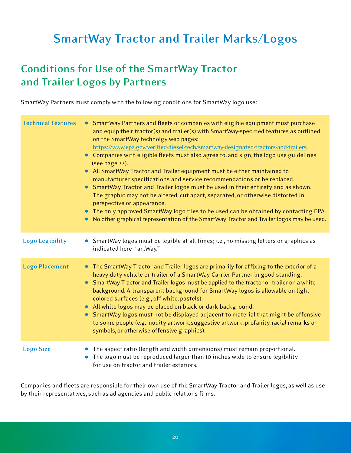## <span id="page-19-0"></span>**SmartWay Tractor and Trailer Marks/Logos**

### **Conditions for Use of the SmartWay Tractor and Trailer Logos by Partners**

 SmartWay Partners must comply with the following conditions for SmartWay logo use:

| <b>Technical Features</b> | • SmartWay Partners and fleets or companies with eligible equipment must purchase<br>and equip their tractor(s) and trailer(s) with SmartWay-specified features as outlined<br>on the SmartWay technolgy web pages:<br>https://www.epa.gov/verified-diesel-tech/smartway-designated-tractors-and-trailers.<br>• Companies with eligible fleets must also agree to, and sign, the logo use guidelines<br>(see page 33).<br>All SmartWay Tractor and Trailer equipment must be either maintained to<br>$\bullet$<br>manufacturer specifications and service recommendations or be replaced.<br>SmartWay Tractor and Trailer logos must be used in their entirety and as shown.<br>The graphic may not be altered, cut apart, separated, or otherwise distorted in<br>perspective or appearance.<br>• The only approved SmartWay logo files to be used can be obtained by contacting EPA.<br>No other graphical representation of the SmartWay Tractor and Trailer logos may be used. |
|---------------------------|------------------------------------------------------------------------------------------------------------------------------------------------------------------------------------------------------------------------------------------------------------------------------------------------------------------------------------------------------------------------------------------------------------------------------------------------------------------------------------------------------------------------------------------------------------------------------------------------------------------------------------------------------------------------------------------------------------------------------------------------------------------------------------------------------------------------------------------------------------------------------------------------------------------------------------------------------------------------------------|
| <b>Logo Legibility</b>    | SmartWay logos must be legible at all times; i.e., no missing letters or graphics as<br>indicated here "artWay."                                                                                                                                                                                                                                                                                                                                                                                                                                                                                                                                                                                                                                                                                                                                                                                                                                                                   |
| <b>Logo Placement</b>     | • The SmartWay Tractor and Trailer logos are primarily for affixing to the exterior of a<br>heavy-duty vehicle or trailer of a SmartWay Carrier Partner in good standing.<br>SmartWay Tractor and Trailer logos must be applied to the tractor or trailer on a white<br>background. A transparent background for SmartWay logos is allowable on light<br>colored surfaces (e.g., off-white, pastels).<br>All-white logos may be placed on black or dark background.<br>SmartWay logos must not be displayed adjacent to material that might be offensive<br>to some people (e.g., nudity artwork, suggestive artwork, profanity, racial remarks or<br>symbols, or otherwise offensive graphics).                                                                                                                                                                                                                                                                                   |
| <b>Logo Size</b>          | The aspect ratio (length and width dimensions) must remain proportional.<br>The logo must be reproduced larger than 10 inches wide to ensure legibility<br>for use on tractor and trailer exteriors.                                                                                                                                                                                                                                                                                                                                                                                                                                                                                                                                                                                                                                                                                                                                                                               |

Companies and fleets are responsible for their own use of the SmartWay Tractor and Trailer logos, as well as use<br>by their representatives, such as ad agencies and public relations firms. by their representatives, such as ad agencies and public relations firms.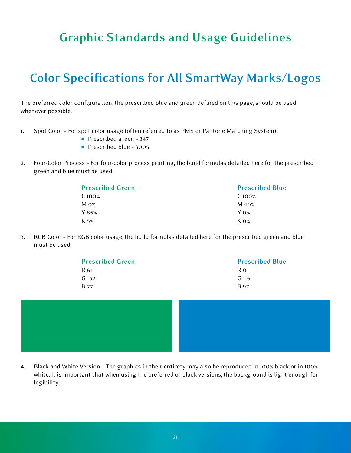## <span id="page-20-0"></span>**Graphic Standards and Usage Guidelines**

## **Color Specifications for All SmartWay Marks/Logos**

The preferred color configuration, the prescribed blue and green defined on this page, should be used whenever possible.

- 1. Spot Color For spot color usage (often referred to as PMS or Pantone Matching System):
- Prescribed green = 347
- Prescribed blue = 3005
- 2. Four-Color Process For four-color process printing, the build formulas detailed here for the prescribed green and blue must be used.

| <b>Prescribed Green</b> | <b>Prescribed Blue</b> |
|-------------------------|------------------------|
| C100%                   | $C100\%$               |
| $M_{\rm 0\%}$           | M 40%                  |
| Y 85%                   | $Y_{0\%}$              |
| K 5%                    | $K \, 0\%$             |

 3. RGB Color – For RGB color usage, the build formulas detailed here for the prescribed green and blue must be used.

| <b>Prescribed Green</b> | <b>Prescribed Blue</b> |
|-------------------------|------------------------|
| R 61                    | R 0                    |
| G152                    | $G$ 116                |
| <b>B</b> 77             | B 97                   |



4. Black and White Version - The graphics in their entirety may also be reproduced in 100% black or in 100% white. It is important that when using the preferred or black versions, the background is light enough for 4. Black and White Version - The graphics in their entirety may also be reproduced in 100% black or in 100%<br>white. It is important that when using the preferred or black versions, the background is light enough for<br>legibil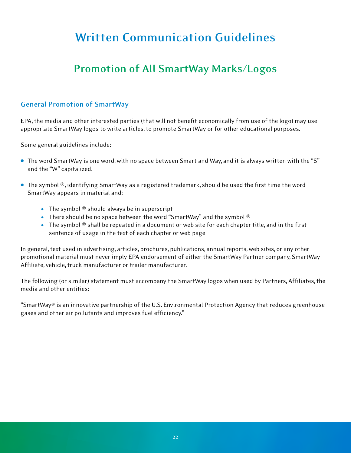## <span id="page-21-0"></span>**Written Communication Guidelines**

### **Promotion of All SmartWay Marks/Logos**

### **General Promotion of SmartWay**

 EPA, the media and other interested parties (that will not beneft economically from use of the logo) may use appropriate SmartWay logos to write articles, to promote SmartWay or for other educational purposes.

 Some general guidelines include:

- The word SmartWay is one word, with no space between Smart and Way, and it is always written with the "S" and the "W" capitalized.
- $\bullet$  The symbol  $\mathcal{R}$ , identifying SmartWay as a registered trademark, should be used the first time the word SmartWay appears in material and:
- The symbol  $@$  should always be in superscript
- $\bullet$  There should be no space between the word "SmartWay" and the symbol  $^\circledR$
- The symbol  $@$  shall be repeated in a document or web site for each chapter title, and in the first sentence of usage in the text of each chapter or web page

 In general, text used in advertising, articles, brochures, publications, annual reports, web sites, or any other promotional material must never imply EPA endorsement of either the SmartWay Partner company, SmartWay Affliate, vehicle, truck manufacturer or trailer manufacturer.

The following (or similar) statement must accompany the SmartWay logos when used by Partners, Affiliates, the<br>media and other entities: media and other entities:

"SmartWay® is an innovative partnership of the U.S. Environmental Protection Agency that reduces greenhouse<br>gases and other air pollutants and improves fuel efficiency." gases and other air pollutants and improves fuel efficiency."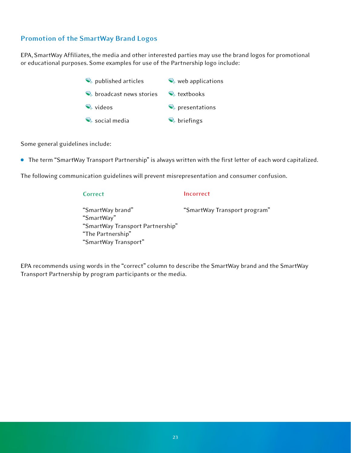### **Promotion of the SmartWay Brand Logos**

 EPA, SmartWay Affliates, the media and other interested parties may use the brand logos for promotional or educational purposes. Some examples for use of the Partnership logo include:

> broadcast news stories \\\\\\\\\textbooks  $\Rightarrow$  published articles  $\Rightarrow$  web applications solutions and the second second second second second second second second second second second second second second second second second second second second second second second second second second second second second s  $\triangle$  social media  $\triangle$  briefings

 Some general guidelines include:

**•** The term "SmartWay Transport Partnership" is always written with the first letter of each word capitalized.

 The following communication guidelines will prevent misrepresentation and consumer confusion.

### "SmartWay Transport Partnership" "SmartWay brand" "SmartWay Transport program" **Correct Incorrect** "SmartWay" "The Partnership" "SmartWay Transport"

 EPA recommends using words in the "correct" column to describe the SmartWay brand and the SmartWay Transport Partnership by program participants or the media.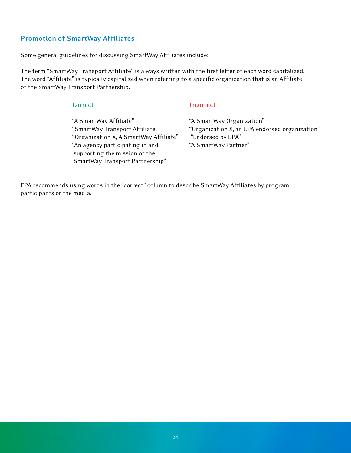### **Promotion of SmartWay Affliates**

 Some general guidelines for discussing SmartWay Affliates include:

The term "SmartWay Transport Affiliate" is always written with the first letter of each word capitalized. The word "Affliate" is typically capitalized when referring to a specifc organization that is an Affliate of the SmartWay Transport Partnership.

"A SmartWay Affiliate" "SmartWay Transport Affiliate" "Organization X, A SmartWay Affliate" "Endorsed by EPA" "An agency participating in and "A SmartWay Partner" "An agency participating in and supporting the mission of the SmartWay Transport Partnership" "A SmartWay Affliate" "A SmartWay Organization"

### **Correct Incorrect**

 "SmartWay Transport Affliate" "Organization X, an EPA endorsed organization" "Endorsed by EPA" "A SmartWay Partner"

 EPA recommends using words in the "correct" column to describe SmartWay Affliates by program participants or the media.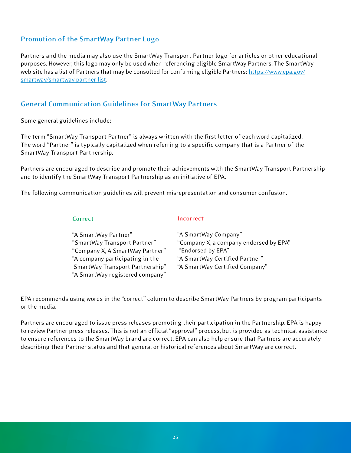### **Promotion of the SmartWay Partner Logo**

Partners and the media may also use the SmartWay Transport Partner logo for articles or other educational Partners and the media may also use the SmartWay Transport Partner logo for articles or other educational<br>purposes. However, this logo may only be used when referencing eligible SmartWay Partners. The SmartWay web site has a list of Partners that may be consulted for confirming eligible Partners: <u>https://www.epa.gov/</u> smartway/smartway-partner-list.

### **General Communication Guidelines for SmartWay Partners**

 Some general guidelines include:

The term "SmartWay Transport Partner" is always written with the first letter of each word capitalized. The word "Partner" is typically capitalized when referring to a specific company that is a Partner of the<br>SmartWay Transport Partnership. SmartWay Transport Partnership.

Partners are encouraged to describe and promote their achievements with the SmartWay Transport Partnership<br>and to identify the SmartWay Transport Partnership as an initiative of EPA. and to identify the SmartWay Transport Partnership as an initiative of EPA.

 The following communication guidelines will prevent misrepresentation and consumer confusion.

### **Correct Incorrect**

| "A SmartWay Partner"            | "A SmartWay Company"                   |
|---------------------------------|----------------------------------------|
| "SmartWay Transport Partner"    | "Company X, a company endorsed by EPA" |
| "Company X, A SmartWay Partner" | "Endorsed by EPA"                      |
| "A company participating in the | "A SmartWay Certified Partner"         |
| SmartWay Transport Partnership" | "A SmartWay Certified Company"         |
| "A SmartWay registered company" |                                        |

 EPA recommends using words in the "correct" column to describe SmartWay Partners by program participants or the media.

Partners are encouraged to issue press releases promoting their participation in the Partnership. EPA is happy review Partner press releases. This is not an official "approval" process, but is provided as technical assistance describing their Partner status and that general or historical references about SmartWay are correct. Partners are encouraged to issue press releases promoting their participation in the Partnership. EPA is happy<br>to review Partner press releases. This is not an official "approval" process, but is provided as technical assi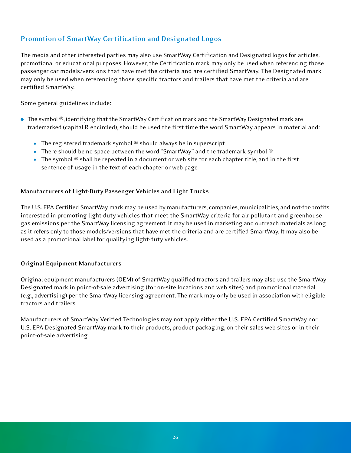### **Promotion of SmartWay Certifcation and Designated Logos**

The media and other interested parties may also use SmartWay Certification and Designated logos for articles, The media and other interested parties may also use SmartWay Certification and Designated logos for articles,<br>promotional or educational purposes. However, the Certification mark may only be used when referencing those passenger car models/versions that have met the criteria and are certified SmartWay. The Designated mark<br>may only be used when referencing those specific tractors and trailers that have met the criteria and are may only be used when referencing those specific tractors and trailers that have met the criteria and are certifed SmartWay.

 Some general guidelines include:

- $\bullet$  The symbol  $\mathcal{O}$ , identifying that the SmartWay Certification mark and the SmartWay Designated mark are The symbol ®, identifying that the SmartWay Certification mark and the SmartWay Designated mark are trademarked (capital R encircled), should be used the first time the word SmartWay appears in material and:
- The registered trademark symbol  $@$  should always be in superscript
- $\bullet$  There should be no space between the word "SmartWay" and the trademark symbol  $^\circledR$
- The symbol  $\circledast$  shall be repeated in a document or web site for each chapter title, and in the first sentence of usage in the text of each chapter or web page

### **anufacturers of Light-Duty Passenger Vehicles and Light Trucks**

 The U.S. EPA Certifed SmartWay mark may be used by manufacturers, companies, municipalities, and not-for-profts interested in promoting light-duty vehicles that meet the SmartWay criteria for air pollutant and greenhouse emissions per the SmartWay licensing agreement. It may be used in marketing and outreach materials as long as it refers only to those models/versions that have met the criteria and are certified SmartWay. It may also be used as a promotional label for qualifying light-duty vehicles. interested in promoting light-duty vehicles that meet the SmartWay criteria for air pollutant and greenhouse<br>gas emissions per the SmartWay licensing agreement. It may be used in marketing and outreach materials as long<br>as

### **Original Equipment Manufacturers**

 Original equipment manufacturers (OEM) of SmartWay qualifed tractors and trailers may also use the SmartWay Designated mark in point-of-sale advertising (for on-site locations and web sites) and promotional material advertising) per the SmartWay licensing agreement. The mark may only be used in association with eligible tractors and trailers. Designated mark in point-of-sale advertising (for on-site locations and web sites) and promotional material<br>(e.g., advertising) per the SmartWay licensing agreement. The mark may only be used in association with eligible<br>t

 Manufacturers of SmartWay Verifed Technologies may not apply either the U.S. EPA Certifed SmartWay nor U.S. EPA Designated SmartWay mark to their products, product packaging, on their sales web sites or in their<br>point-of-sale advertising.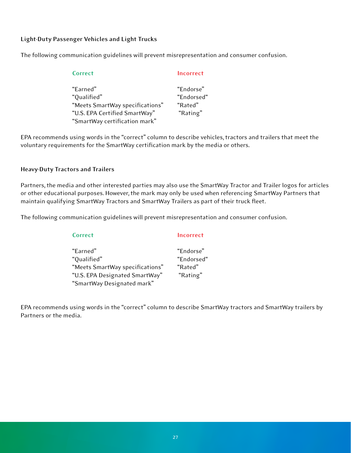### **Light-Duty Passenger Vehicles and Light Trucks**

 The following communication guidelines will prevent misrepresentation and consumer confusion.

| Correct                         | Incorrect  |
|---------------------------------|------------|
| "Earned"                        | "Endorse"  |
| "Qualified"                     | "Endorsed" |
| "Meets SmartWay specifications" | "Rated"    |
| "U.S. EPA Certified SmartWay"   | "Rating"   |
| "SmartWay certification mark"   |            |

EPA recommends using words in the "correct" column to describe vehicles, tractors and trailers that meet the<br>voluntary requirements for the SmartWay certification mark by the media or others. voluntary requirements for the SmartWay certification mark by the media or others.

### **Heavy-Duty Tractors and Trailers**

Partners, the media and other interested parties may also use the SmartWay Tractor and Trailer logos for articles<br>or other educational purposes. However, the mark may only be used when referencing SmartWay Partners that<br>ma or other educational purposes. However, the mark may only be used when referencing SmartWay Partners that maintain qualifying SmartWay Tractors and SmartWay Trailers as part of their truck fleet.

 The following communication guidelines will prevent misrepresentation and consumer confusion.

| Correct                         | Incorrect  |
|---------------------------------|------------|
| "Earned"                        | "Endorse"  |
| "Qualified"                     | "Endorsed" |
| "Meets SmartWay specifications" | "Rated"    |
| "U.S. EPA Designated SmartWay"  | "Rating"   |
| "SmartWay Designated mark"      |            |

EPA recommends using words in the "correct" column to describe SmartWay tractors and SmartWay trailers by<br>Partners or the media. Partners or the media.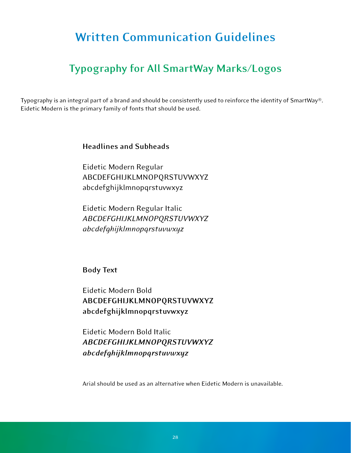## <span id="page-27-0"></span>**Written Communication Guidelines**

### **Typography for All SmartWay Marks/Logos**

Typography is an integral part of a brand and should be consistently used to reinforce the identity of SmartWay®. Eidetic Modern is the primary family of fonts that should be used.

### **Headlines and Subheads**

 Eidetic Modern Regular ABCDEFGHIJKLMNOPQRSTUVWXYZ abcdefghijklmnopqrstuvwxyz

 Eidetic Modern Regular Italic *ABCDEFGHIJKLMNOPQRSTUVW YZ abcdefghijklmnopqrstuvwxyz* 

**Body Text** 

 Eidetic Modern Bold **ABCDEFGHIJKL NOPQRSTUVWXYZ abcdefghijklmnopqrstuvwxyz** 

 Eidetic Modern Bold Italic *ABCDEFGHIJKLMNOPQRSTUVW YZ abcdefghijklmnopqrstuvwxyz* 

 Arial should be used as an alternative when Eidetic Modern is unavailable.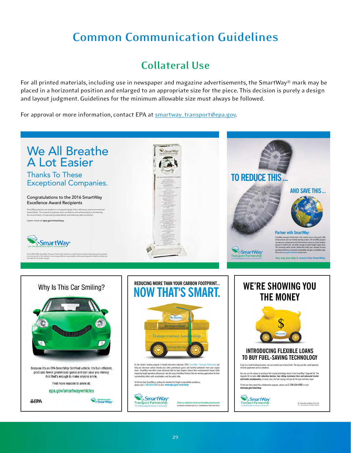## <span id="page-28-0"></span>**Common Communication Guidelines**

### **Collateral Use**

For all printed materials, including use in newspaper and magazine advertisements, the SmartWay® mark may be in a horizontal position and enlarged to an appropriate size for the piece. This decision is purely a design and layout judgment. Guidelines for the minimum allowable size must always be followed. For all printed materials, including use in newspaper and magazine advertisements, the SmartWay® mark may be<br>placed in a horizontal position and enlarged to an appropriate size for the piece. This decision is purely a desi

For approval or more information, contact EPA at **[smartway\\_transport@epa.gov](mailto:smartway_transport@epa.gov).** 

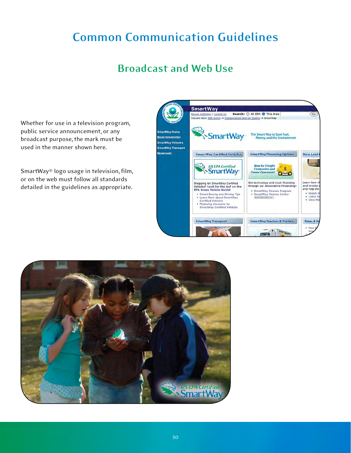## <span id="page-29-0"></span>**Common Communication Guidelines**

### **Broadcast and Web Use**

 Whether for use in a television program, public service announcement, or any broadcast purpose, the mark must be used in the manner shown here.

SmartWay® logo usage in television, film, or on the web must follow all standards detailed in the guidelines as appropriate.



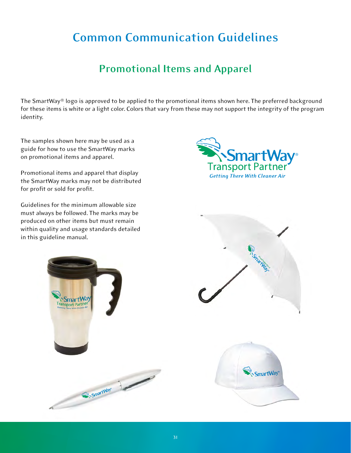## <span id="page-30-0"></span>**Common Communication Guidelines**

### **Promotional Items and Apparel**

The SmartWay® logo is approved to be applied to the promotional items shown here. The preferred background these items is white or a light color. Colors that vary from these may not support the integrity of the program The SmartWay® logo is approved to be applied to the promotional items shown here. The preferred background<br>for these items is white or a light color. Colors that vary from these may not support the integrity of the program

 The samples shown here may be used as a guide for how to use the SmartWay marks<br>on promotional items and apparel. on promotional items and apparel.

 Promotional items and apparel that display the SmartWay marks may not be distributed<br>for profit or sold for profit. for profit or sold for profit.

Guidelines for the minimum allowable size must always be followed. The marks may be Guidelines for the minimum allowable size must always be followed. The marks may be produced on other items but must remain within quality and usage standards detailed<br>in this guideline manual. in this guideline manual.



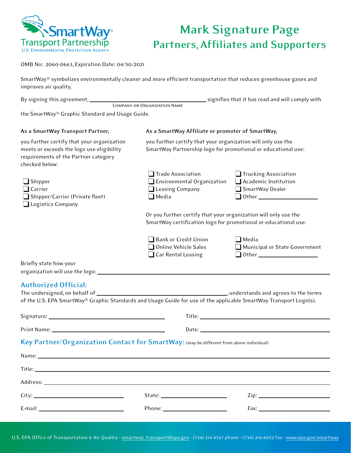<span id="page-31-0"></span>

### **Mark Signature Page Partners, Affliates and Supporters**

OMB No: 2060-0663, Expiration Date: 04/30/2021

| SmartWay® symbolizes environmentally cleaner and more efficient transportation that reduces greenhouse gases and |
|------------------------------------------------------------------------------------------------------------------|
| improves air quality.                                                                                            |

| By signing this agreement, |                              | signifies that it has read and will comply with |
|----------------------------|------------------------------|-------------------------------------------------|
|                            | COMPANY OR ORGANIZATION NAME |                                                 |

 the SmartWay® Graphic Standard and Usage Guide.

| As a SmartWay Transport Partner,                                                                                                                  | As a SmartWay Affiliate or promoter of SmartWay,                                                                                   |                                                                   |
|---------------------------------------------------------------------------------------------------------------------------------------------------|------------------------------------------------------------------------------------------------------------------------------------|-------------------------------------------------------------------|
| you further certify that your organization<br>meets or exceeds the logo use eligibility<br>requirements of the Partner category<br>checked below: | you further certify that your organization will only use the<br>SmartWay Partnership logo for promotional or educational use:      |                                                                   |
| $\Box$ Shipper<br>$\Box$ Carrier<br>$\Box$ Shipper/Carrier (Private fleet)<br>Logistics Company                                                   | Trade Association<br>Environmental Organization<br>Leasing Company<br>$\Box$ Media                                                 | Trucking Association<br>Academic Institution<br>SmartWay Dealer   |
|                                                                                                                                                   | Or you further certify that your organization will only use the<br>SmartWay certification logo for promotional or educational use: |                                                                   |
|                                                                                                                                                   | Bank or Credit Union<br>□ Online Vehicle Sales<br>$\Box$ Car Rental Leasing                                                        | $\Box$ Media<br>Municipal or State Government                     |
| Briefly state how your                                                                                                                            |                                                                                                                                    |                                                                   |
|                                                                                                                                                   |                                                                                                                                    |                                                                   |
| <b>Authorized Official:</b>                                                                                                                       |                                                                                                                                    |                                                                   |
|                                                                                                                                                   |                                                                                                                                    |                                                                   |
| of the U.S. EPA SmartWay® Graphic Standards and Usage Guide for use of the applicable SmartWay Transport Logo(s).                                 |                                                                                                                                    |                                                                   |
|                                                                                                                                                   |                                                                                                                                    |                                                                   |
|                                                                                                                                                   |                                                                                                                                    |                                                                   |
| Key Partner/Organization Contact for SmartWay: (may be different from above individual)                                                           |                                                                                                                                    |                                                                   |
|                                                                                                                                                   |                                                                                                                                    |                                                                   |
|                                                                                                                                                   |                                                                                                                                    |                                                                   |
| Address: Address: Address: Address: Address: Address: Address: Address: Address: Address: Address: A                                              |                                                                                                                                    |                                                                   |
| <u> 1980 - Johann Barbara, martxa alemaniar a</u><br>City:                                                                                        |                                                                                                                                    | $Zip: \_\_\_\_\_\_\_\_\_\_\_\_\_\_\_\_\_\_\_\_\_\_\_\_\_\_\_\_\_$ |

Phone:

Fax:

 E-mail: